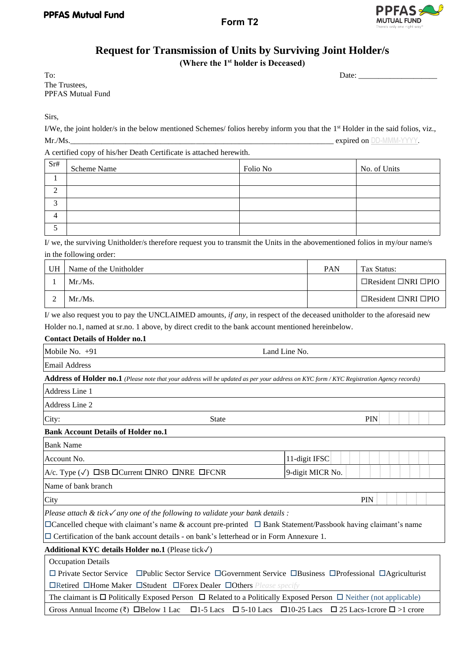# **Request for Transmission of Units by Surviving Joint Holder/s**

**(Where the 1st holder is Deceased)**

To: 2010 2010 2010 2010 2010 2011 2012 2013 2014 2014 2015 2016 2017 2018 2019 2014 2016 2017 2018 2019 2017 20 The Trustees, PPFAS Mutual Fund

Sirs,

I/We, the joint holder/s in the below mentioned Schemes/ folios hereby inform you that the 1<sup>st</sup> Holder in the said folios, viz., Mr./Ms. expired on DD-MMM-YYYY.

A certified copy of his/her Death Certificate is attached herewith.

| Sr#      | Scheme Name | Folio No | No. of Units |
|----------|-------------|----------|--------------|
|          |             |          |              |
|          |             |          |              |
|          |             |          |              |
| $\Delta$ |             |          |              |
|          |             |          |              |

I/ we, the surviving Unitholder/s therefore request you to transmit the Units in the abovementioned folios in my/our name/s in the following order:

| UH | Name of the Unitholder | <b>PAN</b> | Tax Status:                           |
|----|------------------------|------------|---------------------------------------|
|    | Mr.Ms.                 |            | $\Box$ Resident $\Box$ NRI $\Box$ PIO |
|    | Mr.Ms.                 |            | $\Box$ Resident $\Box$ NRI $\Box$ PIO |

I/ we also request you to pay the UNCLAIMED amounts*, if any*, in respect of the deceased unitholder to the aforesaid new Holder no.1, named at sr.no. 1 above, by direct credit to the bank account mentioned hereinbelow.

## **Contact Details of Holder no.1**

| Mobile No. $+91$                                                                                                                              | Land Line No.    |  |  |  |
|-----------------------------------------------------------------------------------------------------------------------------------------------|------------------|--|--|--|
| Email Address                                                                                                                                 |                  |  |  |  |
| Address of Holder no.1 (Please note that your address will be updated as per your address on KYC form / KYC Registration Agency records)      |                  |  |  |  |
| Address Line 1                                                                                                                                |                  |  |  |  |
| Address Line 2                                                                                                                                |                  |  |  |  |
| City:<br><b>State</b>                                                                                                                         | <b>PIN</b>       |  |  |  |
| <b>Bank Account Details of Holder no.1</b>                                                                                                    |                  |  |  |  |
| <b>Bank Name</b>                                                                                                                              |                  |  |  |  |
| Account No.                                                                                                                                   | 11-digit IFSC    |  |  |  |
| A/c. Type $(\sqrt{})$ $\Box$ SB $\Box$ Current $\Box$ NRO $\Box$ NRE $\Box$ FCNR                                                              | 9-digit MICR No. |  |  |  |
| Name of bank branch                                                                                                                           |                  |  |  |  |
| City                                                                                                                                          | PIN              |  |  |  |
| Please attach & tick $\sqrt{a}$ any one of the following to validate your bank details :                                                      |                  |  |  |  |
| $\Box$ Cancelled cheque with claimant's name & account pre-printed $\Box$ Bank Statement/Passbook having claimant's name                      |                  |  |  |  |
| $\Box$ Certification of the bank account details - on bank's letterhead or in Form Annexure 1.                                                |                  |  |  |  |
| Additional KYC details Holder no.1 (Please tick $\sqrt{}$ )                                                                                   |                  |  |  |  |
| <b>Occupation Details</b>                                                                                                                     |                  |  |  |  |
| $\Box$ Private Sector Service $\Box$ Public Sector Service $\Box$ Government Service $\Box$ Business $\Box$ Professional $\Box$ Agriculturist |                  |  |  |  |

Retired Home Maker Student Forex Dealer Others *Please specify*

The claimant is  $\Box$  Politically Exposed Person  $\Box$  Related to a Politically Exposed Person  $\Box$  Neither (not applicable) Gross Annual Income (₹)  $\Box$ Below 1 Lac  $\Box$ 1-5 Lacs  $\Box$ 5-10 Lacs  $\Box$ 10-25 Lacs  $\Box$ 25 Lacs-1crore  $\Box$ >1 crore